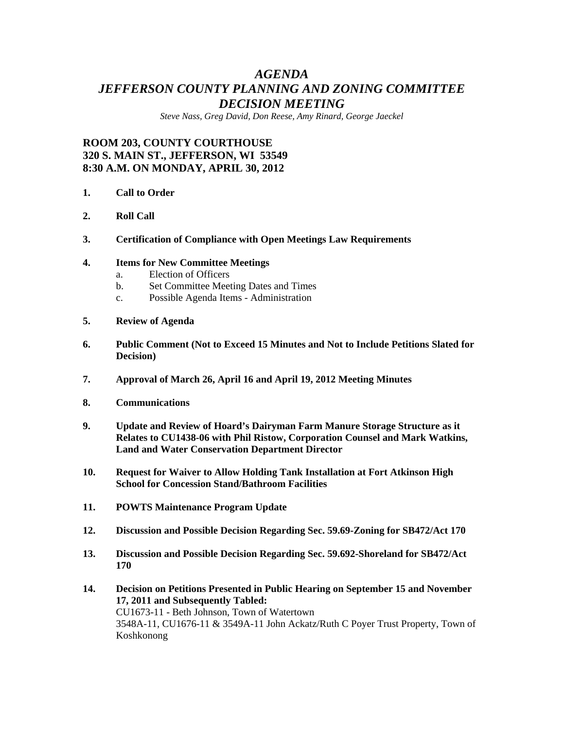# *AGENDA JEFFERSON COUNTY PLANNING AND ZONING COMMITTEE DECISION MEETING*

*Steve Nass, Greg David, Don Reese, Amy Rinard, George Jaeckel* 

## **ROOM 203, COUNTY COURTHOUSE 320 S. MAIN ST., JEFFERSON, WI 53549 8:30 A.M. ON MONDAY, APRIL 30, 2012**

- **1. Call to Order**
- **2. Roll Call**
- **3. Certification of Compliance with Open Meetings Law Requirements**

#### **4. Items for New Committee Meetings**

- a. Election of Officers
- b. Set Committee Meeting Dates and Times
- c. Possible Agenda Items Administration
- **5. Review of Agenda**
- **6. Public Comment (Not to Exceed 15 Minutes and Not to Include Petitions Slated for Decision)**
- **7. Approval of March 26, April 16 and April 19, 2012 Meeting Minutes**
- **8. Communications**
- **9. Update and Review of Hoard's Dairyman Farm Manure Storage Structure as it Relates to CU1438-06 with Phil Ristow, Corporation Counsel and Mark Watkins, Land and Water Conservation Department Director**
- **10. Request for Waiver to Allow Holding Tank Installation at Fort Atkinson High School for Concession Stand/Bathroom Facilities**
- **11. POWTS Maintenance Program Update**
- **12. Discussion and Possible Decision Regarding Sec. 59.69-Zoning for SB472/Act 170**
- **13. Discussion and Possible Decision Regarding Sec. 59.692-Shoreland for SB472/Act 170**
- **14. Decision on Petitions Presented in Public Hearing on September 15 and November 17, 2011 and Subsequently Tabled:**  CU1673-11 - Beth Johnson, Town of Watertown 3548A-11, CU1676-11 & 3549A-11 John Ackatz/Ruth C Poyer Trust Property, Town of Koshkonong